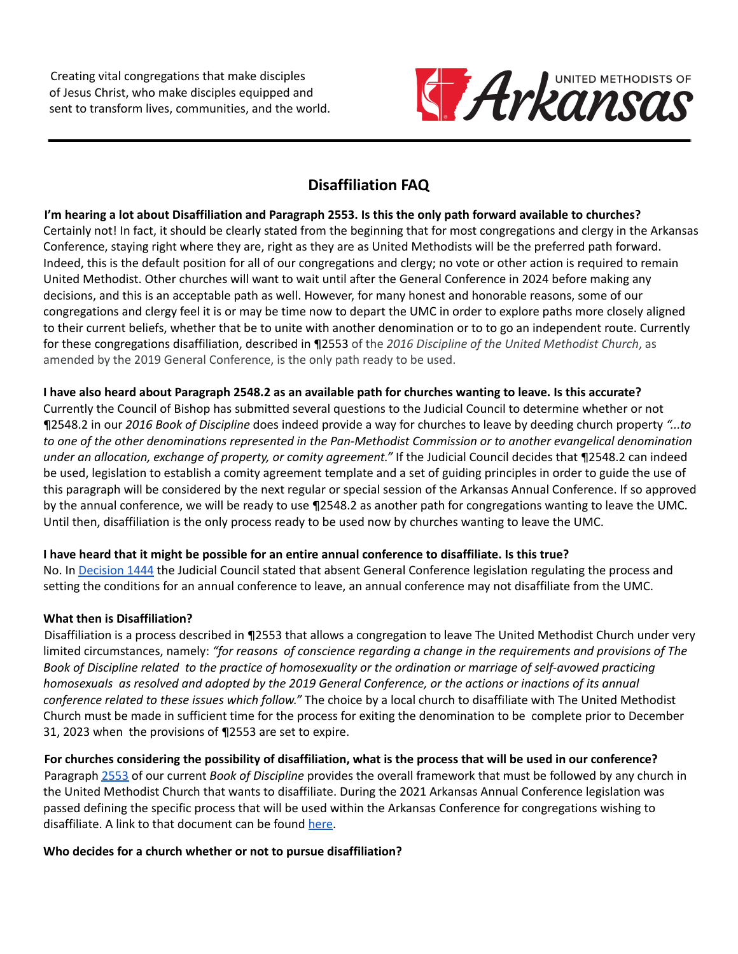Creating vital congregations that make disciples of Jesus Christ, who make disciples equipped and sent to transform lives, communities, and the world.



# **Disaffiliation FAQ**

I'm hearing a lot about Disaffiliation and Paragraph 2553. Is this the only path forward available to churches? Certainly not! In fact, it should be clearly stated from the beginning that for most congregations and clergy in the Arkansas Conference, staying right where they are, right as they are as United Methodists will be the preferred path forward. Indeed, this is the default position for all of our congregations and clergy; no vote or other action is required to remain United Methodist. Other churches will want to wait until after the General Conference in 2024 before making any decisions, and this is an acceptable path as well. However, for many honest and honorable reasons, some of our congregations and clergy feel it is or may be time now to depart the UMC in order to explore paths more closely aligned to their current beliefs, whether that be to unite with another denomination or to to go an independent route. Currently for these congregations disaffiliation, described in ¶2553 of the *2016 Discipline of the United Methodist Church*, as amended by the 2019 General Conference, is the only path ready to be used.

#### I have also heard about Paragraph 2548.2 as an available path for churches wanting to leave. Is this accurate?

Currently the Council of Bishop has submitted several questions to the Judicial Council to determine whether or not ¶2548.2 in our *2016 Book of Discipline* does indeed provide a way for churches to leave by deeding church property *"...to* to one of the other denominations represented in the Pan-Methodist Commission or to another evangelical denomination *under an allocation, exchange of property, or comity agreement."* If the Judicial Council decides that ¶2548.2 can indeed be used, legislation to establish a comity agreement template and a set of guiding principles in order to guide the use of this paragraph will be considered by the next regular or special session of the Arkansas Annual Conference. If so approved by the annual conference, we will be ready to use ¶2548.2 as another path for congregations wanting to leave the UMC. Until then, disaffiliation is the only process ready to be used now by churches wanting to leave the UMC.

# I have heard that it might be possible for an entire annual conference to disaffiliate. Is this true?

No. In [Decision](https://www.resourceumc.org/en/churchwide/judicial-council/judicial-council-decision-home/judicial-decisions/decision-1444) 1444 the Judicial Council stated that absent General Conference legislation regulating the process and setting the conditions for an annual conference to leave, an annual conference may not disaffiliate from the UMC.

#### **What then is Disaffiliation?**

Disaffiliation is a process described in ¶2553 that allows a congregation to leave The United Methodist Church under very limited circumstances, namely: *"for reasons of conscience regarding a change in the requirements and provisions of The* Book of Discipline related to the practice of homosexuality or the ordination or marriage of self-avowed practicing homosexuals as resolved and adopted by the 2019 General Conference, or the actions or inactions of its annual *conference related to these issues which follow."* The choice by a local church to disaffiliate with The United Methodist Church must be made in sufficient time for the process for exiting the denomination to be complete prior to December 31, 2023 when the provisions of ¶2553 are set to expire.

For churches considering the possibility of disaffiliation, what is the process that will be used in our conference? Paragraph [2553](https://www.umc.org/en/content/book-of-discipline-2553-disaffiliation-over-human-sexuality) of our current *Book of Discipline* provides the overall framework that must be followed by any church in the United Methodist Church that wants to disaffiliate. During the 2021 Arkansas Annual Conference legislation was passed defining the specific process that will be used within the Arkansas Conference for congregations wishing to disaffiliate. A link to that document can be found [here](https://arumc.org/wp-content/uploads/2022/04/PrinciplesForDisaffiliation-ACApproved2021.pdf).

# **Who decides for a church whether or not to pursue disaffiliation?**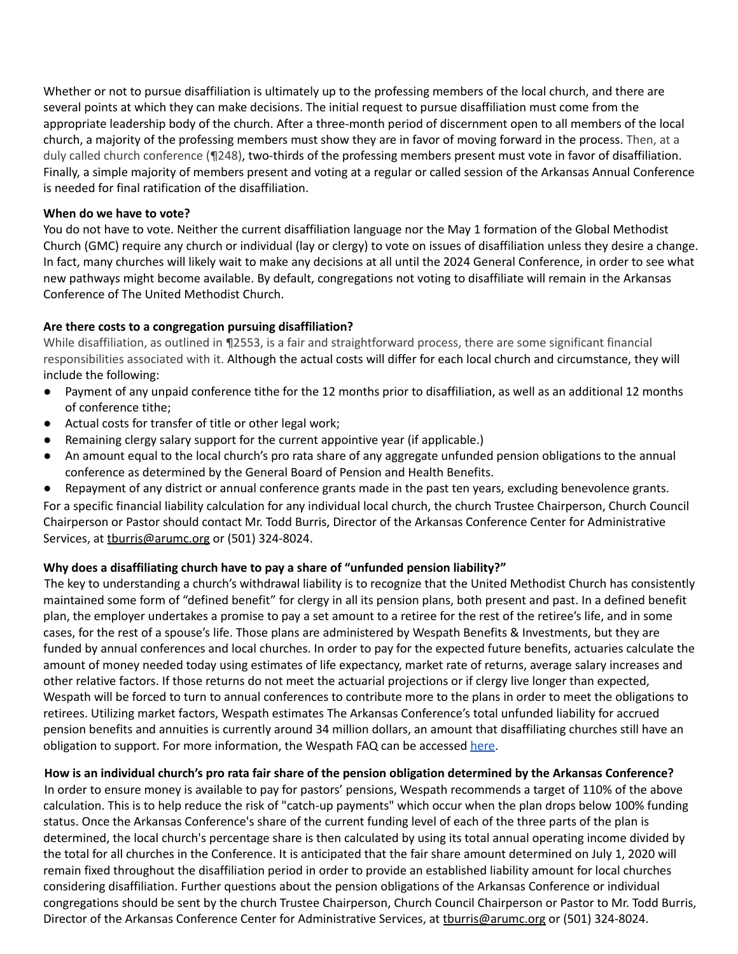Whether or not to pursue disaffiliation is ultimately up to the professing members of the local church, and there are several points at which they can make decisions. The initial request to pursue disaffiliation must come from the appropriate leadership body of the church. After a three-month period of discernment open to all members of the local church, a majority of the professing members must show they are in favor of moving forward in the process. Then, at a duly called church conference (¶248), two-thirds of the professing members present must vote in favor of disaffiliation. Finally, a simple majority of members present and voting at a regular or called session of the Arkansas Annual Conference is needed for final ratification of the disaffiliation.

#### **When do we have to vote?**

You do not have to vote. Neither the current disaffiliation language nor the May 1 formation of the Global Methodist Church (GMC) require any church or individual (lay or clergy) to vote on issues of disaffiliation unless they desire a change. In fact, many churches will likely wait to make any decisions at all until the 2024 General Conference, in order to see what new pathways might become available. By default, congregations not voting to disaffiliate will remain in the Arkansas Conference of The United Methodist Church.

#### **Are there costs to a congregation pursuing disaffiliation?**

While disaffiliation, as outlined in ¶2553, is a fair and straightforward process, there are some significant financial responsibilities associated with it. Although the actual costs will differ for each local church and circumstance, they will include the following:

- Payment of any unpaid conference tithe for the 12 months prior to disaffiliation, as well as an additional 12 months of conference tithe;
- Actual costs for transfer of title or other legal work;
- Remaining clergy salary support for the current appointive year (if applicable.)
- An amount equal to the local church's pro rata share of any aggregate unfunded pension obligations to the annual conference as determined by the General Board of Pension and Health Benefits.
- Repayment of any district or annual conference grants made in the past ten years, excluding benevolence grants.

For a specific financial liability calculation for any individual local church, the church Trustee Chairperson, Church Council Chairperson or Pastor should contact Mr. Todd Burris, Director of the Arkansas Conference Center for Administrative Services, at thurris@arumc.org or (501) 324-8024.

#### **Why does a disaffiliating church have to pay a share of "unfunded pension liability?"**

The key to understanding a church's withdrawal liability is to recognize that the United Methodist Church has consistently maintained some form of "defined benefit" for clergy in all its pension plans, both present and past. In a defined benefit plan, the employer undertakes a promise to pay a set amount to a retiree for the rest of the retiree's life, and in some cases, for the rest of a spouse's life. Those plans are administered by Wespath Benefits & Investments, but they are funded by annual conferences and local churches. In order to pay for the expected future benefits, actuaries calculate the amount of money needed today using estimates of life expectancy, market rate of returns, average salary increases and other relative factors. If those returns do not meet the actuarial projections or if clergy live longer than expected, Wespath will be forced to turn to annual conferences to contribute more to the plans in order to meet the obligations to retirees. Utilizing market factors, Wespath estimates The Arkansas Conference's total unfunded liability for accrued pension benefits and annuities is currently around 34 million dollars, an amount that disaffiliating churches still have an obligation to support. For more information, the Wespath FAQ can be accessed [here.](https://www.wespath.org/about-wespath/wayforwardwespathfaq)

#### How is an individual church's pro rata fair share of the pension obligation determined by the Arkansas Conference?

In order to ensure money is available to pay for pastors' pensions, Wespath recommends a target of 110% of the above calculation. This is to help reduce the risk of "catch-up payments" which occur when the plan drops below 100% funding status. Once the Arkansas Conference's share of the current funding level of each of the three parts of the plan is determined, the local church's percentage share is then calculated by using its total annual operating income divided by the total for all churches in the Conference. It is anticipated that the fair share amount determined on July 1, 2020 will remain fixed throughout the disaffiliation period in order to provide an established liability amount for local churches considering disaffiliation. Further questions about the pension obligations of the Arkansas Conference or individual congregations should be sent by the church Trustee Chairperson, Church Council Chairperson or Pastor to Mr. Todd Burris, Director of the Arkansas Conference Center for Administrative Services, at thurris@arumc.org or (501) 324-8024.